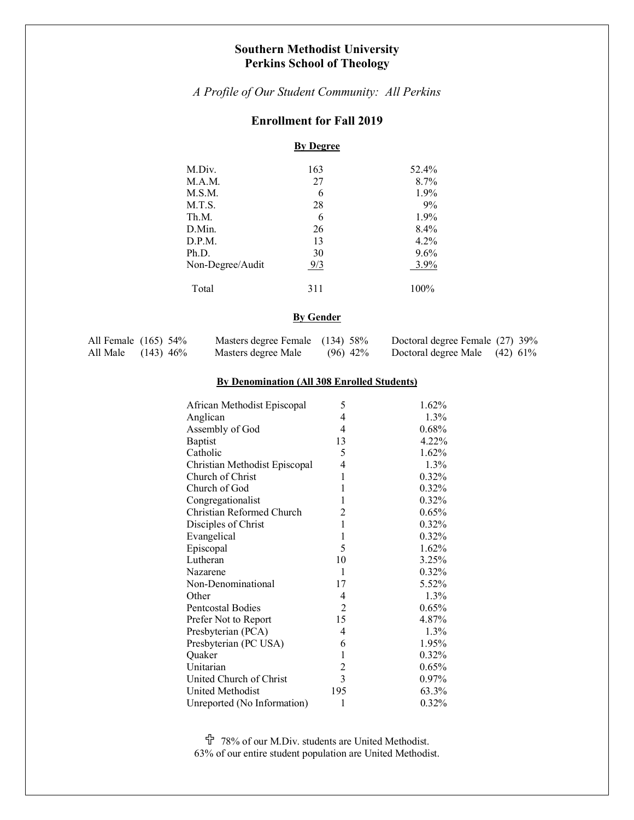# **Southern Methodist University Perkins School of Theology**

*A Profile of Our Student Community: All Perkins*

# **Enrollment for Fall 2019**

# **By Degree**

| M.Div.           | 163 | 52.4%   |
|------------------|-----|---------|
| M.A.M.           | 27  | $8.7\%$ |
| M.S.M.           | 6   | 1.9%    |
| M.T.S.           | 28  | 9%      |
| Th.M.            | 6   | $1.9\%$ |
| D.Min.           | 26  | $8.4\%$ |
| D.P.M.           | 13  | $4.2\%$ |
| Ph.D.            | 30  | $9.6\%$ |
| Non-Degree/Audit | 9/3 | 3.9%    |
| Total            | 311 | 100%    |

## **By Gender**

| All Female $(165)$ 54% | Masters degree Female (134) 58% |            | Doctoral degree Female (27) 39% |  |
|------------------------|---------------------------------|------------|---------------------------------|--|
| All Male (143) 46%     | Masters degree Male             | $(96)$ 42% | Doctoral degree Male $(42)$ 61% |  |

## **By Denomination (All 308 Enrolled Students)**

| African Methodist Episcopal   | 5              | 1.62%    |
|-------------------------------|----------------|----------|
| Anglican                      | 4              | 1.3%     |
| Assembly of God               | 4              | 0.68%    |
| <b>Baptist</b>                | 13             | 4.22%    |
| Catholic                      | 5              | 1.62%    |
| Christian Methodist Episcopal | 4              | 1.3%     |
| Church of Christ              | 1              | 0.32%    |
| Church of God                 | 1              | 0.32%    |
| Congregationalist             | 1              | 0.32%    |
| Christian Reformed Church     | $\overline{2}$ | 0.65%    |
| Disciples of Christ           | 1              | 0.32%    |
| Evangelical                   | $\mathbf{1}$   | 0.32%    |
| Episcopal                     | 5              | 1.62%    |
| Lutheran                      | 10             | 3.25%    |
| Nazarene                      | 1              | $0.32\%$ |
| Non-Denominational            | 17             | 5.52%    |
| Other                         | 4              | $1.3\%$  |
| Pentcostal Bodies             | $\overline{2}$ | 0.65%    |
| Prefer Not to Report          | 15             | 4.87%    |
| Presbyterian (PCA)            | 4              | $1.3\%$  |
| Presbyterian (PC USA)         | 6              | 1.95%    |
| Quaker                        | $\mathbf{1}$   | 0.32%    |
| Unitarian                     | $\overline{c}$ | 0.65%    |
| United Church of Christ       | $\overline{3}$ | $0.97\%$ |
| <b>United Methodist</b>       | 195            | 63.3%    |
| Unreported (No Information)   | 1              | 0.32%    |

U 78% of our M.Div. students are United Methodist. 63% of our entire student population are United Methodist.